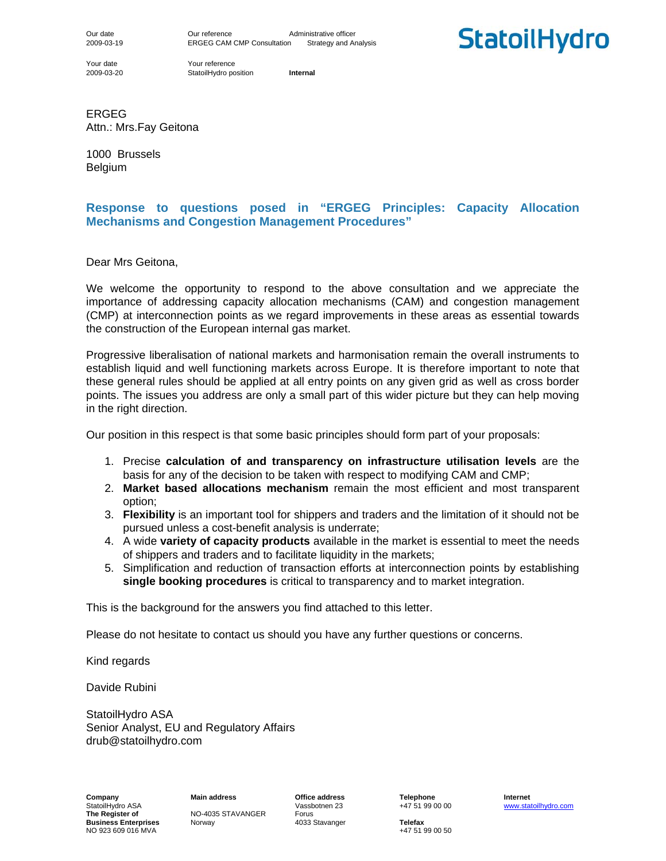Our date **Our reference** Administrative officer 2009-03-19 ERGEG CAM CMP Consultation Strategy and Analysis

Your date Your reference

2009-03-20 StatoilHydro position **Internal**

**StatoilHydro** 

ERGEG Attn.: Mrs.Fay Geitona

1000 Brussels Belgium

### **Response to questions posed in "ERGEG Principles: Capacity Allocation Mechanisms and Congestion Management Procedures"**

Dear Mrs Geitona,

We welcome the opportunity to respond to the above consultation and we appreciate the importance of addressing capacity allocation mechanisms (CAM) and congestion management (CMP) at interconnection points as we regard improvements in these areas as essential towards the construction of the European internal gas market.

Progressive liberalisation of national markets and harmonisation remain the overall instruments to establish liquid and well functioning markets across Europe. It is therefore important to note that these general rules should be applied at all entry points on any given grid as well as cross border points. The issues you address are only a small part of this wider picture but they can help moving in the right direction.

Our position in this respect is that some basic principles should form part of your proposals:

- 1. Precise **calculation of and transparency on infrastructure utilisation levels** are the basis for any of the decision to be taken with respect to modifying CAM and CMP;
- 2. **Market based allocations mechanism** remain the most efficient and most transparent option;
- 3. **Flexibility** is an important tool for shippers and traders and the limitation of it should not be pursued unless a cost-benefit analysis is underrate;
- 4. A wide **variety of capacity products** available in the market is essential to meet the needs of shippers and traders and to facilitate liquidity in the markets;
- 5. Simplification and reduction of transaction efforts at interconnection points by establishing **single booking procedures** is critical to transparency and to market integration.

This is the background for the answers you find attached to this letter.

Please do not hesitate to contact us should you have any further questions or concerns.

Kind regards

Davide Rubini

StatoilHydro ASA Senior Analyst, EU and Regulatory Affairs drub@statoilhydro.com

**The Register STAVANGER** Forus<br> **The Register State A033 Stavanger**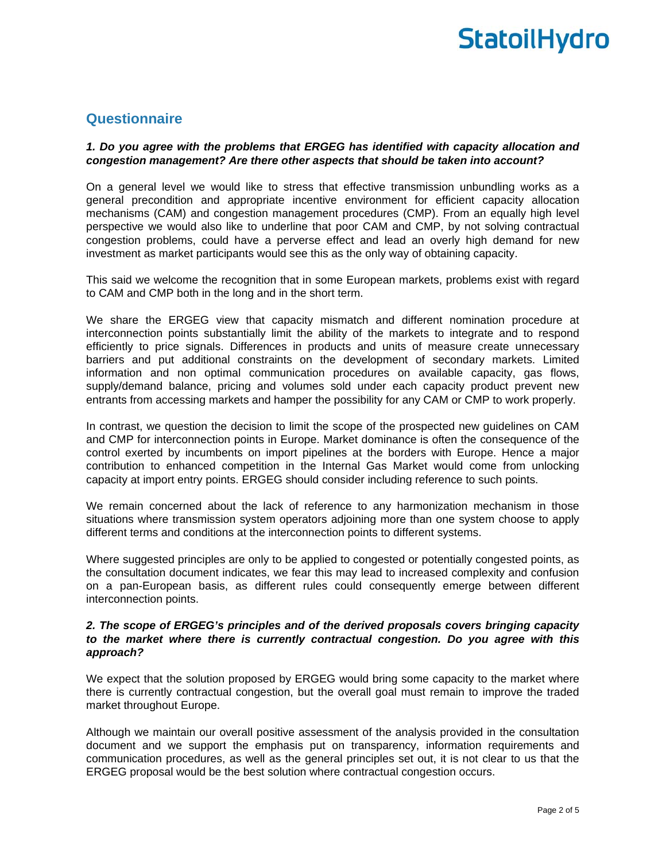### **Questionnaire**

### *1. Do you agree with the problems that ERGEG has identified with capacity allocation and congestion management? Are there other aspects that should be taken into account?*

On a general level we would like to stress that effective transmission unbundling works as a general precondition and appropriate incentive environment for efficient capacity allocation mechanisms (CAM) and congestion management procedures (CMP). From an equally high level perspective we would also like to underline that poor CAM and CMP, by not solving contractual congestion problems, could have a perverse effect and lead an overly high demand for new investment as market participants would see this as the only way of obtaining capacity.

This said we welcome the recognition that in some European markets, problems exist with regard to CAM and CMP both in the long and in the short term.

We share the ERGEG view that capacity mismatch and different nomination procedure at interconnection points substantially limit the ability of the markets to integrate and to respond efficiently to price signals. Differences in products and units of measure create unnecessary barriers and put additional constraints on the development of secondary markets. Limited information and non optimal communication procedures on available capacity, gas flows, supply/demand balance, pricing and volumes sold under each capacity product prevent new entrants from accessing markets and hamper the possibility for any CAM or CMP to work properly.

In contrast, we question the decision to limit the scope of the prospected new guidelines on CAM and CMP for interconnection points in Europe. Market dominance is often the consequence of the control exerted by incumbents on import pipelines at the borders with Europe. Hence a major contribution to enhanced competition in the Internal Gas Market would come from unlocking capacity at import entry points. ERGEG should consider including reference to such points.

We remain concerned about the lack of reference to any harmonization mechanism in those situations where transmission system operators adjoining more than one system choose to apply different terms and conditions at the interconnection points to different systems.

Where suggested principles are only to be applied to congested or potentially congested points, as the consultation document indicates, we fear this may lead to increased complexity and confusion on a pan-European basis, as different rules could consequently emerge between different interconnection points.

### *2. The scope of ERGEG's principles and of the derived proposals covers bringing capacity to the market where there is currently contractual congestion. Do you agree with this approach?*

We expect that the solution proposed by ERGEG would bring some capacity to the market where there is currently contractual congestion, but the overall goal must remain to improve the traded market throughout Europe.

Although we maintain our overall positive assessment of the analysis provided in the consultation document and we support the emphasis put on transparency, information requirements and communication procedures, as well as the general principles set out, it is not clear to us that the ERGEG proposal would be the best solution where contractual congestion occurs.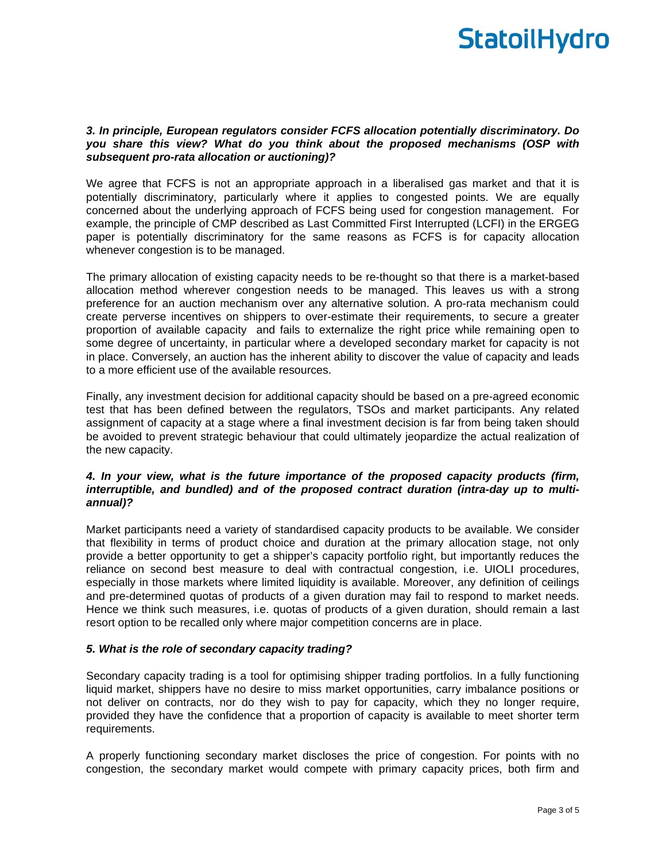### *3. In principle, European regulators consider FCFS allocation potentially discriminatory. Do you share this view? What do you think about the proposed mechanisms (OSP with subsequent pro-rata allocation or auctioning)?*

We agree that FCFS is not an appropriate approach in a liberalised gas market and that it is potentially discriminatory, particularly where it applies to congested points. We are equally concerned about the underlying approach of FCFS being used for congestion management. For example, the principle of CMP described as Last Committed First Interrupted (LCFI) in the ERGEG paper is potentially discriminatory for the same reasons as FCFS is for capacity allocation whenever congestion is to be managed.

The primary allocation of existing capacity needs to be re-thought so that there is a market-based allocation method wherever congestion needs to be managed. This leaves us with a strong preference for an auction mechanism over any alternative solution. A pro-rata mechanism could create perverse incentives on shippers to over-estimate their requirements, to secure a greater proportion of available capacity and fails to externalize the right price while remaining open to some degree of uncertainty, in particular where a developed secondary market for capacity is not in place. Conversely, an auction has the inherent ability to discover the value of capacity and leads to a more efficient use of the available resources.

Finally, any investment decision for additional capacity should be based on a pre-agreed economic test that has been defined between the regulators, TSOs and market participants. Any related assignment of capacity at a stage where a final investment decision is far from being taken should be avoided to prevent strategic behaviour that could ultimately jeopardize the actual realization of the new capacity.

### *4. In your view, what is the future importance of the proposed capacity products (firm, interruptible, and bundled) and of the proposed contract duration (intra-day up to multiannual)?*

Market participants need a variety of standardised capacity products to be available. We consider that flexibility in terms of product choice and duration at the primary allocation stage, not only provide a better opportunity to get a shipper's capacity portfolio right, but importantly reduces the reliance on second best measure to deal with contractual congestion, i.e. UIOLI procedures, especially in those markets where limited liquidity is available. Moreover, any definition of ceilings and pre-determined quotas of products of a given duration may fail to respond to market needs. Hence we think such measures, i.e. quotas of products of a given duration, should remain a last resort option to be recalled only where major competition concerns are in place.

### *5. What is the role of secondary capacity trading?*

Secondary capacity trading is a tool for optimising shipper trading portfolios. In a fully functioning liquid market, shippers have no desire to miss market opportunities, carry imbalance positions or not deliver on contracts, nor do they wish to pay for capacity, which they no longer require, provided they have the confidence that a proportion of capacity is available to meet shorter term requirements.

A properly functioning secondary market discloses the price of congestion. For points with no congestion, the secondary market would compete with primary capacity prices, both firm and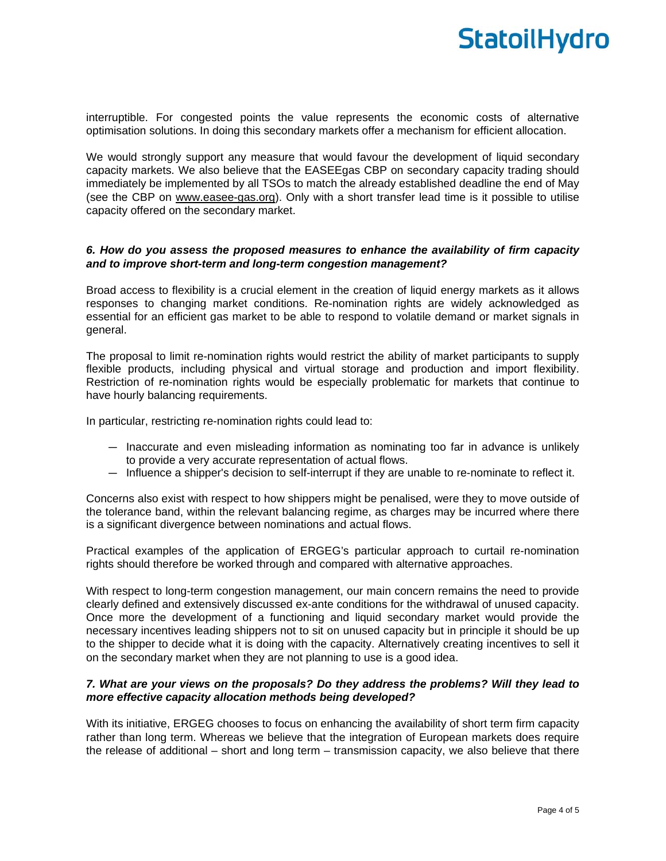interruptible. For congested points the value represents the economic costs of alternative optimisation solutions. In doing this secondary markets offer a mechanism for efficient allocation.

We would strongly support any measure that would favour the development of liquid secondary capacity markets. We also believe that the EASEEgas CBP on secondary capacity trading should immediately be implemented by all TSOs to match the already established deadline the end of May (see the CBP on www.easee-gas.org). Only with a short transfer lead time is it possible to utilise capacity offered on the secondary market.

### *6. How do you assess the proposed measures to enhance the availability of firm capacity and to improve short-term and long-term congestion management?*

Broad access to flexibility is a crucial element in the creation of liquid energy markets as it allows responses to changing market conditions. Re-nomination rights are widely acknowledged as essential for an efficient gas market to be able to respond to volatile demand or market signals in general.

The proposal to limit re-nomination rights would restrict the ability of market participants to supply flexible products, including physical and virtual storage and production and import flexibility. Restriction of re-nomination rights would be especially problematic for markets that continue to have hourly balancing requirements.

In particular, restricting re-nomination rights could lead to:

- Inaccurate and even misleading information as nominating too far in advance is unlikely to provide a very accurate representation of actual flows.
- Influence a shipper's decision to self-interrupt if they are unable to re-nominate to reflect it.

Concerns also exist with respect to how shippers might be penalised, were they to move outside of the tolerance band, within the relevant balancing regime, as charges may be incurred where there is a significant divergence between nominations and actual flows.

Practical examples of the application of ERGEG's particular approach to curtail re-nomination rights should therefore be worked through and compared with alternative approaches.

With respect to long-term congestion management, our main concern remains the need to provide clearly defined and extensively discussed ex-ante conditions for the withdrawal of unused capacity. Once more the development of a functioning and liquid secondary market would provide the necessary incentives leading shippers not to sit on unused capacity but in principle it should be up to the shipper to decide what it is doing with the capacity. Alternatively creating incentives to sell it on the secondary market when they are not planning to use is a good idea.

### *7. What are your views on the proposals? Do they address the problems? Will they lead to more effective capacity allocation methods being developed?*

With its initiative, ERGEG chooses to focus on enhancing the availability of short term firm capacity rather than long term. Whereas we believe that the integration of European markets does require the release of additional – short and long term – transmission capacity, we also believe that there